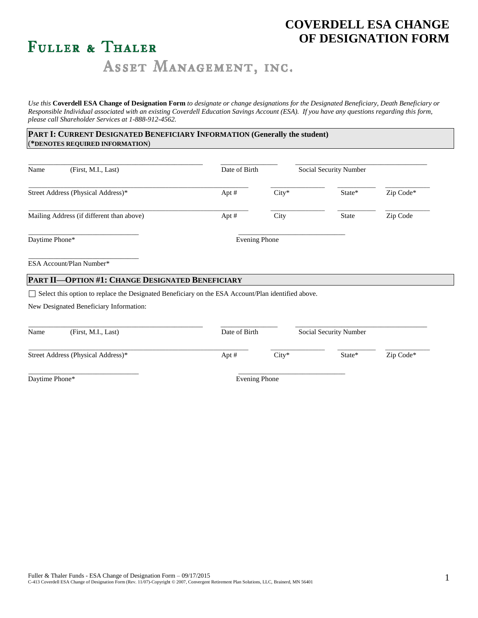# **COVERDELL ESA CHANGE OF DESIGNATION FORM**

# FULLER & THALER

ASSET MANAGEMENT, INC.

*Use this* **Coverdell ESA Change of Designation Form** *to designate or change designations for the Designated Beneficiary, Death Beneficiary or Responsible Individual associated with an existing Coverdell Education Savings Account (ESA). If you have any questions regarding this form, please call Shareholder Services at 1-888-912-4562.*

# **PART I: CURRENT DESIGNATED BENEFICIARY INFORMATION (Generally the student)** (**\*DENOTES REQUIRED INFORMATION**)

| (First, M.I., Last)<br>Name                                                                        | Date of Birth        |         | Social Security Number |           |
|----------------------------------------------------------------------------------------------------|----------------------|---------|------------------------|-----------|
| Street Address (Physical Address)*                                                                 | Apt $#$              | $City*$ | State*                 | Zip Code* |
| Mailing Address (if different than above)                                                          | Apt $#$              | City    | <b>State</b>           | Zip Code  |
| Daytime Phone*                                                                                     | <b>Evening Phone</b> |         |                        |           |
| ESA Account/Plan Number*                                                                           |                      |         |                        |           |
| PART II-OPTION #1: CHANGE DESIGNATED BENEFICIARY                                                   |                      |         |                        |           |
| Select this option to replace the Designated Beneficiary on the ESA Account/Plan identified above. |                      |         |                        |           |
| New Designated Beneficiary Information:                                                            |                      |         |                        |           |

| Name           | (First, M.I., Last)                | Date of Birth |          | Social Security Number |             |
|----------------|------------------------------------|---------------|----------|------------------------|-------------|
|                | Street Address (Physical Address)* | Apt $#$       | $Citv^*$ | State*                 | $Zip Code*$ |
| Daytime Phone* |                                    | Evening Phone |          |                        |             |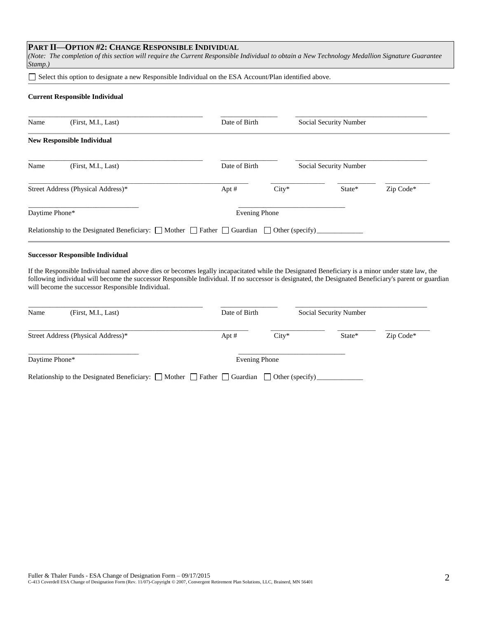# **PART II—OPTION #2: CHANGE RESPONSIBLE INDIVIDUAL**

*(Note: The completion of this section will require the Current Responsible Individual to obtain a New Technology Medallion Signature Guarantee Stamp.)*

Select this option to designate a new Responsible Individual on the ESA Account/Plan identified above.

#### **Current Responsible Individual**

| Name           | (First, M.I., Last)                                                                                            | Date of Birth        |         | Social Security Number |           |
|----------------|----------------------------------------------------------------------------------------------------------------|----------------------|---------|------------------------|-----------|
|                | <b>New Responsible Individual</b>                                                                              |                      |         |                        |           |
| Name           | (First, M.I., Last)                                                                                            | Date of Birth        |         | Social Security Number |           |
|                | Street Address (Physical Address)*                                                                             | Apt #                | $City*$ | State*                 | Zip Code* |
| Daytime Phone* |                                                                                                                | <b>Evening Phone</b> |         |                        |           |
|                | Relationship to the Designated Beneficiary: $\Box$ Mother $\Box$ Father $\Box$ Guardian $\Box$ Other (specify) |                      |         |                        |           |

#### **Successor Responsible Individual**

If the Responsible Individual named above dies or becomes legally incapacitated while the Designated Beneficiary is a minor under state law, the following individual will become the successor Responsible Individual. If no successor is designated, the Designated Beneficiary's parent or guardian will become the successor Responsible Individual.

| Name           | (First, M.I., Last)                                                                                            | Date of Birth |         | Social Security Number |           |
|----------------|----------------------------------------------------------------------------------------------------------------|---------------|---------|------------------------|-----------|
|                | Street Address (Physical Address)*                                                                             | Apt $#$       | $City*$ | State*                 | Zip Code* |
| Daytime Phone* |                                                                                                                | Evening Phone |         |                        |           |
|                | Relationship to the Designated Beneficiary: $\Box$ Mother $\Box$ Father $\Box$ Guardian $\Box$ Other (specify) |               |         |                        |           |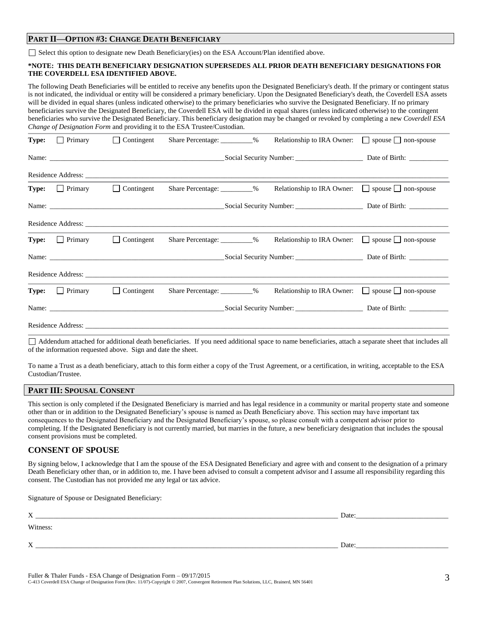### **PART II—OPTION #3: CHANGE DEATH BENEFICIARY**

 $\Box$  Select this option to designate new Death Beneficiary(ies) on the ESA Account/Plan identified above.

#### **\*NOTE: THIS DEATH BENEFICIARY DESIGNATION SUPERSEDES ALL PRIOR DEATH BENEFICIARY DESIGNATIONS FOR THE COVERDELL ESA IDENTIFIED ABOVE.**

The following Death Beneficiaries will be entitled to receive any benefits upon the Designated Beneficiary's death. If the primary or contingent status is not indicated, the individual or entity will be considered a primary beneficiary. Upon the Designated Beneficiary's death, the Coverdell ESA assets will be divided in equal shares (unless indicated otherwise) to the primary beneficiaries who survive the Designated Beneficiary. If no primary beneficiaries survive the Designated Beneficiary, the Coverdell ESA will be divided in equal shares (unless indicated otherwise) to the contingent beneficiaries who survive the Designated Beneficiary. This beneficiary designation may be changed or revoked by completing a new *Coverdell ESA Change of Designation Form* and providing it to the ESA Trustee/Custodian.

| <b>Type:</b> $\Box$ Primary                   | Contingent |                               | Relationship to IRA Owner: $\Box$ spouse $\Box$ non-spouse |                                        |
|-----------------------------------------------|------------|-------------------------------|------------------------------------------------------------|----------------------------------------|
|                                               |            |                               |                                                            |                                        |
|                                               |            |                               |                                                            |                                        |
| <b>Type:</b> $\Box$ Primary $\Box$ Contingent |            | Share Percentage: _________%  | Relationship to IRA Owner: $\Box$ spouse $\Box$ non-spouse |                                        |
|                                               |            |                               |                                                            |                                        |
|                                               |            |                               |                                                            |                                        |
| <b>Type:</b> Primary Contingent               |            | Share Percentage: __________% | Relationship to IRA Owner: $\Box$ spouse $\Box$ non-spouse |                                        |
|                                               | Name:      |                               |                                                            | Social Security Number: Date of Birth: |
|                                               |            |                               |                                                            |                                        |
| <b>Type:</b> $\Box$ Primary $\Box$ Contingent |            | Share Percentage: _________%  | Relationship to IRA Owner: $\Box$ spouse $\Box$ non-spouse |                                        |
|                                               |            |                               |                                                            |                                        |
|                                               |            |                               |                                                            |                                        |

Addendum attached for additional death beneficiaries. If you need additional space to name beneficiaries, attach a separate sheet that includes all of the information requested above. Sign and date the sheet.

To name a Trust as a death beneficiary, attach to this form either a copy of the Trust Agreement, or a certification, in writing, acceptable to the ESA Custodian/Trustee.

# **PART III: SPOUSAL CONSENT**

This section is only completed if the Designated Beneficiary is married and has legal residence in a community or marital property state and someone other than or in addition to the Designated Beneficiary's spouse is named as Death Beneficiary above. This section may have important tax consequences to the Designated Beneficiary and the Designated Beneficiary's spouse, so please consult with a competent advisor prior to completing. If the Designated Beneficiary is not currently married, but marries in the future, a new beneficiary designation that includes the spousal consent provisions must be completed.

## **CONSENT OF SPOUSE**

By signing below, I acknowledge that I am the spouse of the ESA Designated Beneficiary and agree with and consent to the designation of a primary Death Beneficiary other than, or in addition to, me. I have been advised to consult a competent advisor and I assume all responsibility regarding this consent. The Custodian has not provided me any legal or tax advice.

Signature of Spouse or Designated Beneficiary:

| X        | Date: |
|----------|-------|
| Witness: |       |
| X        | Date: |